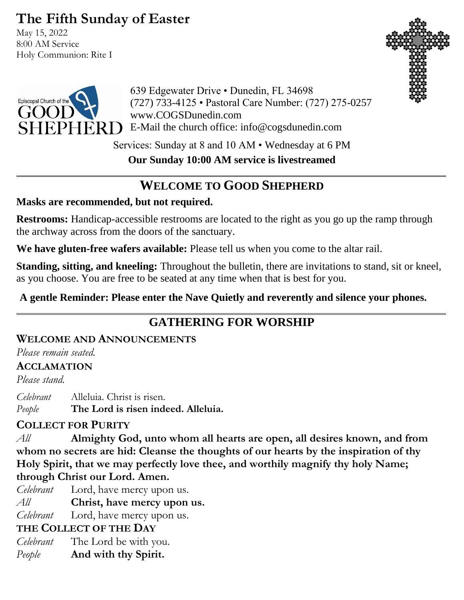# **The Fifth Sunday of Easter**

May 15, 2022 8:00 AM Service Holy Communion: Rite I





639 Edgewater Drive • Dunedin, FL 34698 (727) 733-4125 • Pastoral Care Number: (727) 275-0257 www.COGSDunedin.com E-Mail the church office: info@cogsdunedin.com

Services: Sunday at 8 and 10 AM • Wednesday at 6 PM

**Our Sunday 10:00 AM service is livestreamed**

# **WELCOME TO GOOD SHEPHERD**

## **Masks are recommended, but not required.**

**Restrooms:** Handicap-accessible restrooms are located to the right as you go up the ramp through the archway across from the doors of the sanctuary.

**We have gluten-free wafers available:** Please tell us when you come to the altar rail.

**Standing, sitting, and kneeling:** Throughout the bulletin, there are invitations to stand, sit or kneel, as you choose. You are free to be seated at any time when that is best for you.

**A gentle Reminder: Please enter the Nave Quietly and reverently and silence your phones.**

# **GATHERING FOR WORSHIP**

## **WELCOME AND ANNOUNCEMENTS**

*Please remain seated.*

## **ACCLAMATION**

*Please stand.*

*Celebrant* Alleluia. Christ is risen. *People* **The Lord is risen indeed. Alleluia.**

## **COLLECT FOR PURITY**

*All* **Almighty God, unto whom all hearts are open, all desires known, and from whom no secrets are hid: Cleanse the thoughts of our hearts by the inspiration of thy Holy Spirit, that we may perfectly love thee, and worthily magnify thy holy Name; through Christ our Lord. Amen.**

- *Celebrant* Lord, have mercy upon us.
- *All* **Christ, have mercy upon us.**

*Celebrant* Lord, have mercy upon us.

## **THE COLLECT OF THE DAY**

- *Celebrant* The Lord be with you.
- *People* **And with thy Spirit.**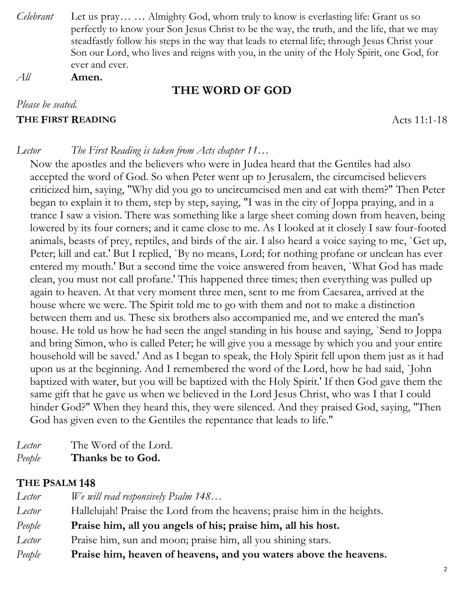*Celebrant* Let us pray… … Almighty God, whom truly to know is everlasting life: Grant us so perfectly to know your Son Jesus Christ to be the way, the truth, and the life, that we may steadfastly follow his steps in the way that leads to eternal life; through Jesus Christ your Son our Lord, who lives and reigns with you, in the unity of the Holy Spirit, one God, for ever and ever.

*All* **Amen.**

### **THE WORD OF GOD**

*Please be seated.*

#### **THE FIRST READING** Acts 11:1-18

#### *Lector The First Reading is taken from Acts chapter 11…*

Now the apostles and the believers who were in Judea heard that the Gentiles had also accepted the word of God. So when Peter went up to Jerusalem, the circumcised believers criticized him, saying, "Why did you go to uncircumcised men and eat with them?" Then Peter began to explain it to them, step by step, saying, "I was in the city of Joppa praying, and in a trance I saw a vision. There was something like a large sheet coming down from heaven, being lowered by its four corners; and it came close to me. As I looked at it closely I saw four-footed animals, beasts of prey, reptiles, and birds of the air. I also heard a voice saying to me, `Get up, Peter; kill and eat.' But I replied, `By no means, Lord; for nothing profane or unclean has ever entered my mouth.' But a second time the voice answered from heaven, `What God has made clean, you must not call profane.' This happened three times; then everything was pulled up again to heaven. At that very moment three men, sent to me from Caesarea, arrived at the house where we were. The Spirit told me to go with them and not to make a distinction between them and us. These six brothers also accompanied me, and we entered the man's house. He told us how he had seen the angel standing in his house and saying, `Send to Joppa and bring Simon, who is called Peter; he will give you a message by which you and your entire household will be saved.' And as I began to speak, the Holy Spirit fell upon them just as it had upon us at the beginning. And I remembered the word of the Lord, how he had said, `John baptized with water, but you will be baptized with the Holy Spirit.' If then God gave them the same gift that he gave us when we believed in the Lord Jesus Christ, who was I that I could hinder God?" When they heard this, they were silenced. And they praised God, saying, "Then God has given even to the Gentiles the repentance that leads to life."

| Lector | The Word of the Lord. |
|--------|-----------------------|
| People | Thanks be to God.     |

#### **THE PSALM 148**

| Lector | We will read responsively Psalm 148                                      |
|--------|--------------------------------------------------------------------------|
| Lector | Hallelujah! Praise the Lord from the heavens; praise him in the heights. |
| People | Praise him, all you angels of his; praise him, all his host.             |
| Lector | Praise him, sun and moon; praise him, all you shining stars.             |
| People | Praise him, heaven of heavens, and you waters above the heavens.         |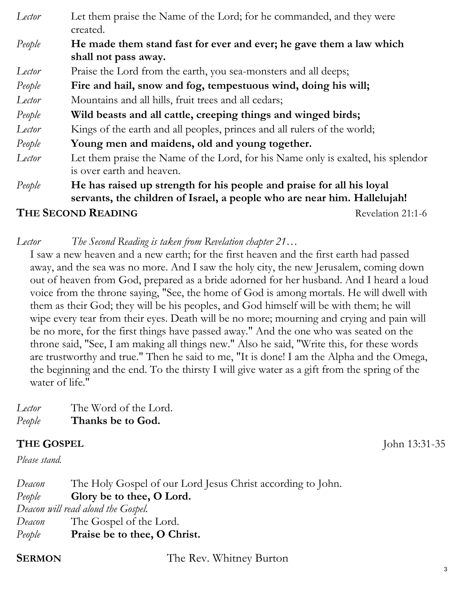| Lector | Let them praise the Name of the Lord; for he commanded, and they were<br>created. |  |
|--------|-----------------------------------------------------------------------------------|--|
| People | He made them stand fast for ever and ever; he gave them a law which               |  |
|        | shall not pass away.                                                              |  |
| Lector | Praise the Lord from the earth, you sea-monsters and all deeps;                   |  |
| People | Fire and hail, snow and fog, tempestuous wind, doing his will;                    |  |
| Lector | Mountains and all hills, fruit trees and all cedars;                              |  |
| People | Wild beasts and all cattle, creeping things and winged birds;                     |  |
| Lector | Kings of the earth and all peoples, princes and all rulers of the world;          |  |
| People | Young men and maidens, old and young together.                                    |  |
| Lector | Let them praise the Name of the Lord, for his Name only is exalted, his splendor  |  |
|        | is over earth and heaven.                                                         |  |
| People | He has raised up strength for his people and praise for all his loyal             |  |
|        | servants, the children of Israel, a people who are near him. Hallelujah!          |  |

## **THE SECOND READING**

*Lector The Second Reading is taken from Revelation chapter 21…*

I saw a new heaven and a new earth; for the first heaven and the first earth had passed away, and the sea was no more. And I saw the holy city, the new Jerusalem, coming down out of heaven from God, prepared as a bride adorned for her husband. And I heard a loud voice from the throne saying, "See, the home of God is among mortals. He will dwell with them as their God; they will be his peoples, and God himself will be with them; he will wipe every tear from their eyes. Death will be no more; mourning and crying and pain will be no more, for the first things have passed away." And the one who was seated on the throne said, "See, I am making all things new." Also he said, "Write this, for these words are trustworthy and true." Then he said to me, "It is done! I am the Alpha and the Omega, the beginning and the end. To the thirsty I will give water as a gift from the spring of the water of life."

| Lector | The Word of the Lord. |
|--------|-----------------------|
| People | Thanks be to God.     |

## **THE GOSPEL** John 13:31-35

*Please stand.*

*Deacon* The Holy Gospel of our Lord Jesus Christ according to John. *People* **Glory be to thee, O Lord.**  *Deacon will read aloud the Gospel. Deacon* The Gospel of the Lord. *People* **Praise be to thee, O Christ.**

**SERMON** The Rev. Whitney Burton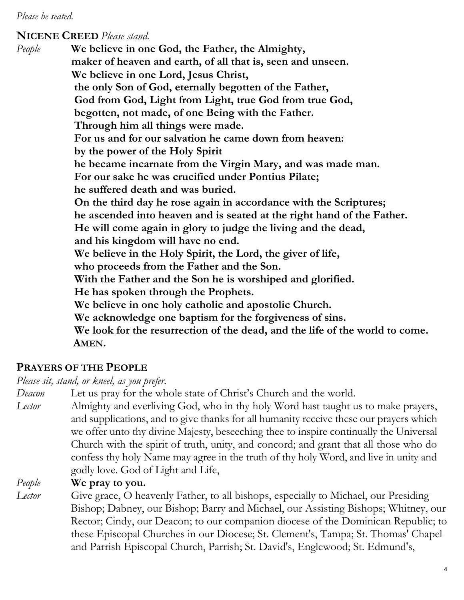*Please be seated.*

### **NICENE CREED** *Please stand.*

*People* **We believe in one God, the Father, the Almighty, maker of heaven and earth, of all that is, seen and unseen. We believe in one Lord, Jesus Christ, the only Son of God, eternally begotten of the Father, God from God, Light from Light, true God from true God, begotten, not made, of one Being with the Father. Through him all things were made. For us and for our salvation he came down from heaven: by the power of the Holy Spirit he became incarnate from the Virgin Mary, and was made man. For our sake he was crucified under Pontius Pilate; he suffered death and was buried. On the third day he rose again in accordance with the Scriptures; he ascended into heaven and is seated at the right hand of the Father. He will come again in glory to judge the living and the dead, and his kingdom will have no end. We believe in the Holy Spirit, the Lord, the giver of life, who proceeds from the Father and the Son. With the Father and the Son he is worshiped and glorified. He has spoken through the Prophets. We believe in one holy catholic and apostolic Church. We acknowledge one baptism for the forgiveness of sins. We look for the resurrection of the dead, and the life of the world to come. AMEN.**

## **PRAYERS OF THE PEOPLE**

*Please sit, stand, or kneel, as you prefer.*

*Deacon* Let us pray for the whole state of Christ's Church and the world.

- *Lector* Almighty and everliving God, who in thy holy Word hast taught us to make prayers, and supplications, and to give thanks for all humanity receive these our prayers which we offer unto thy divine Majesty, beseeching thee to inspire continually the Universal Church with the spirit of truth, unity, and concord; and grant that all those who do confess thy holy Name may agree in the truth of thy holy Word, and live in unity and godly love. God of Light and Life,
- *People* **We pray to you.**
- *Lector* Give grace, O heavenly Father, to all bishops, especially to Michael, our Presiding Bishop; Dabney, our Bishop; Barry and Michael, our Assisting Bishops; Whitney, our Rector; Cindy, our Deacon; to our companion diocese of the Dominican Republic; to these Episcopal Churches in our Diocese; St. Clement's, Tampa; St. Thomas' Chapel and Parrish Episcopal Church, Parrish; St. David's, Englewood; St. Edmund's,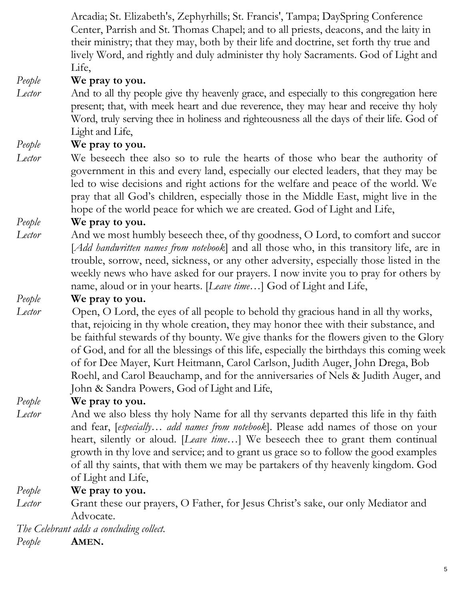Arcadia; St. Elizabeth's, Zephyrhills; St. Francis', Tampa; DaySpring Conference Center, Parrish and St. Thomas Chapel; and to all priests, deacons, and the laity in their ministry; that they may, both by their life and doctrine, set forth thy true and lively Word, and rightly and duly administer thy holy Sacraments. God of Light and Life,

## *People* **We pray to you.**

*Lector* And to all thy people give thy heavenly grace, and especially to this congregation here present; that, with meek heart and due reverence, they may hear and receive thy holy Word, truly serving thee in holiness and righteousness all the days of their life. God of Light and Life,

*People* **We pray to you.**

*Lector* We beseech thee also so to rule the hearts of those who bear the authority of government in this and every land, especially our elected leaders, that they may be led to wise decisions and right actions for the welfare and peace of the world. We pray that all God's children, especially those in the Middle East, might live in the hope of the world peace for which we are created. God of Light and Life,

## *People* **We pray to you.**

*Lector* And we most humbly beseech thee, of thy goodness, O Lord, to comfort and succor [*Add handwritten names from notebook*] and all those who, in this transitory life, are in trouble, sorrow, need, sickness, or any other adversity, especially those listed in the weekly news who have asked for our prayers. I now invite you to pray for others by name, aloud or in your hearts. [*Leave time…*] God of Light and Life,

## *People* **We pray to you.**

*Lector* Open, O Lord, the eyes of all people to behold thy gracious hand in all thy works, that, rejoicing in thy whole creation, they may honor thee with their substance, and be faithful stewards of thy bounty. We give thanks for the flowers given to the Glory of God, and for all the blessings of this life, especially the birthdays this coming week of for Dee Mayer, Kurt Heitmann, Carol Carlson, Judith Auger, John Drega, Bob Roehl, and Carol Beauchamp, and for the anniversaries of Nels & Judith Auger, and John & Sandra Powers, God of Light and Life,

## *People* **We pray to you.**

*Lector* And we also bless thy holy Name for all thy servants departed this life in thy faith and fear, [*especially… add names from notebook*]. Please add names of those on your heart, silently or aloud. [*Leave time…*] We beseech thee to grant them continual growth in thy love and service; and to grant us grace so to follow the good examples of all thy saints, that with them we may be partakers of thy heavenly kingdom. God of Light and Life,

## *People* **We pray to you.**

*Lector* Grant these our prayers, O Father, for Jesus Christ's sake, our only Mediator and Advocate.

*The Celebrant adds a concluding collect. People* **AMEN.**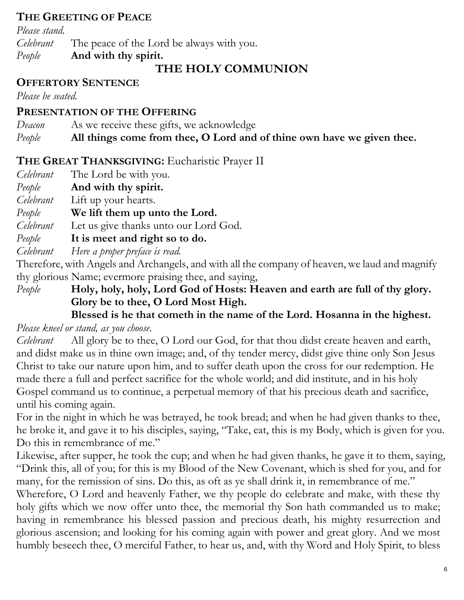## **THE GREETING OF PEACE**

*Please stand. Celebrant* The peace of the Lord be always with you. *People* **And with thy spirit.**

## **THE HOLY COMMUNION**

## **OFFERTORY SENTENCE**

*Please be seated.*

## **PRESENTATION OF THE OFFERING**

*Deacon* As we receive these gifts, we acknowledge

*People* **All things come from thee, O Lord and of thine own have we given thee.**

## **THE GREAT THANKSGIVING:** Eucharistic Prayer II

- *Celebrant* The Lord be with you.
- *People* **And with thy spirit.**

*Celebrant* Lift up your hearts.

*People* **We lift them up unto the Lord.**

*Celebrant* Let us give thanks unto our Lord God.

*People* **It is meet and right so to do.**

*Celebrant Here a proper preface is read.* 

Therefore, with Angels and Archangels, and with all the company of heaven, we laud and magnify thy glorious Name; evermore praising thee, and saying,

*People* **Holy, holy, holy, Lord God of Hosts: Heaven and earth are full of thy glory. Glory be to thee, O Lord Most High.** 

## **Blessed is he that cometh in the name of the Lord. Hosanna in the highest.**

*Please kneel or stand, as you choose.*

*Celebrant* All glory be to thee, O Lord our God, for that thou didst create heaven and earth, and didst make us in thine own image; and, of thy tender mercy, didst give thine only Son Jesus Christ to take our nature upon him, and to suffer death upon the cross for our redemption. He made there a full and perfect sacrifice for the whole world; and did institute, and in his holy Gospel command us to continue, a perpetual memory of that his precious death and sacrifice, until his coming again.

For in the night in which he was betrayed, he took bread; and when he had given thanks to thee, he broke it, and gave it to his disciples, saying, "Take, eat, this is my Body, which is given for you. Do this in remembrance of me."

Likewise, after supper, he took the cup; and when he had given thanks, he gave it to them, saying, "Drink this, all of you; for this is my Blood of the New Covenant, which is shed for you, and for many, for the remission of sins. Do this, as oft as ye shall drink it, in remembrance of me."

Wherefore, O Lord and heavenly Father, we thy people do celebrate and make, with these thy holy gifts which we now offer unto thee, the memorial thy Son hath commanded us to make; having in remembrance his blessed passion and precious death, his mighty resurrection and glorious ascension; and looking for his coming again with power and great glory. And we most humbly beseech thee, O merciful Father, to hear us, and, with thy Word and Holy Spirit, to bless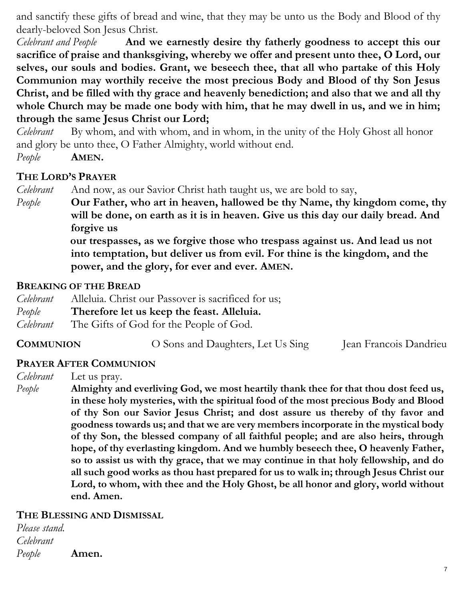and sanctify these gifts of bread and wine, that they may be unto us the Body and Blood of thy dearly-beloved Son Jesus Christ.

*Celebrant and People* **And we earnestly desire thy fatherly goodness to accept this our sacrifice of praise and thanksgiving, whereby we offer and present unto thee, O Lord, our selves, our souls and bodies. Grant, we beseech thee, that all who partake of this Holy Communion may worthily receive the most precious Body and Blood of thy Son Jesus Christ, and be filled with thy grace and heavenly benediction; and also that we and all thy whole Church may be made one body with him, that he may dwell in us, and we in him; through the same Jesus Christ our Lord;** 

*Celebrant* By whom, and with whom, and in whom, in the unity of the Holy Ghost all honor and glory be unto thee, O Father Almighty, world without end.

*People* **AMEN.**

## **THE LORD'S PRAYER**

*Celebrant* And now, as our Savior Christ hath taught us, we are bold to say, *People* **Our Father, who art in heaven, hallowed be thy Name, thy kingdom come, thy will be done, on earth as it is in heaven. Give us this day our daily bread. And forgive us our trespasses, as we forgive those who trespass against us. And lead us not into temptation, but deliver us from evil. For thine is the kingdom, and the power, and the glory, for ever and ever. AMEN.**

## **BREAKING OF THE BREAD**

*Celebrant* Alleluia. Christ our Passover is sacrificed for us; *People* **Therefore let us keep the feast. Alleluia.** *Celebrant* The Gifts of God for the People of God.

**COMMUNION** O Sons and Daughters, Let Us Sing Jean Francois Dandrieu

## **PRAYER AFTER COMMUNION**

*Celebrant* Let us pray.

*People* **Almighty and everliving God, we most heartily thank thee for that thou dost feed us, in these holy mysteries, with the spiritual food of the most precious Body and Blood of thy Son our Savior Jesus Christ; and dost assure us thereby of thy favor and goodness towards us; and that we are very members incorporate in the mystical body of thy Son, the blessed company of all faithful people; and are also heirs, through hope, of thy everlasting kingdom. And we humbly beseech thee, O heavenly Father, so to assist us with thy grace, that we may continue in that holy fellowship, and do all such good works as thou hast prepared for us to walk in; through Jesus Christ our Lord, to whom, with thee and the Holy Ghost, be all honor and glory, world without end. Amen.**

## **THE BLESSING AND DISMISSAL**

| Please stand. |       |
|---------------|-------|
| Celebrant     |       |
| People        | Amen. |